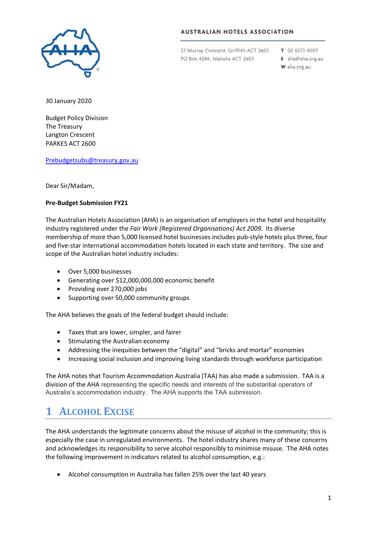

### **AUSTRALIAN HOTELS ASSOCIATION**

27 Murray Crescent, Griffith ACT 2603 PO Box 4286, Manuka ACT 2603

T 02 6273 4007

E aha@aha.org.au W aha.org.au

30 January 2020

Budget Policy Division The Treasury Langton Crescent PARKES ACT 2600

[Prebudgetsubs@treasury.gov.au](mailto:prebudgetsubs@treasury.gov.au)

Dear Sir/Madam,

### **Pre-Budget Submission FY21**

The Australian Hotels Association (AHA) is an organisation of employers in the hotel and hospitality industry registered under the *Fair Work (Registered Organisations) Act 2009.* Its diverse membership of more than 5,000 licensed hotel businesses includes pub-style hotels plus three, four and five-star international accommodation hotels located in each state and territory. The size and scope of the Australian hotel industry includes:

- Over 5,000 businesses
- Generating over \$12,000,000,000 economic benefit
- Providing over 270,000 jobs
- Supporting over 50,000 community groups

The AHA believes the goals of the federal budget should include:

- Taxes that are lower, simpler, and fairer
- Stimulating the Australian economy
- Addressing the inequities between the "digital" and "bricks and mortar" economies
- Increasing social inclusion and improving living standards through workforce participation

The AHA notes that Tourism Accommodation Australia (TAA) has also made a submission. TAA is a division of the AHA representing the specific needs and interests of the substantial operators of Australia's accommodation industry. The AHA supports the TAA submission.

## **1 ALCOHOL EXCISE**

The AHA understands the legitimate concerns about the misuse of alcohol in the community; this is especially the case in unregulated environments. The hotel industry shares many of these concerns and acknowledges its responsibility to serve alcohol responsibly to minimise misuse. The AHA notes the following improvement in indicators related to alcohol consumption, e.g.:

• Alcohol consumption in Australia has fallen 25% over the last 40 years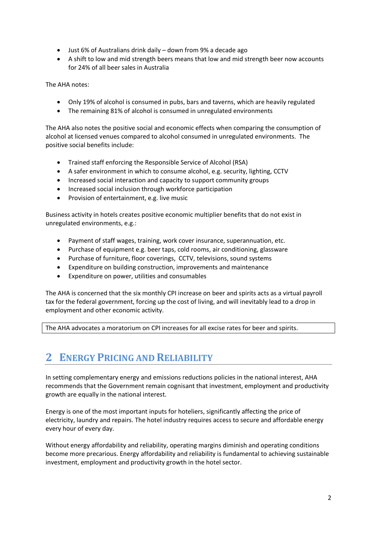- Just 6% of Australians drink daily down from 9% a decade ago
- A shift to low and mid strength beers means that low and mid strength beer now accounts for 24% of all beer sales in Australia

The AHA notes:

- Only 19% of alcohol is consumed in pubs, bars and taverns, which are heavily regulated
- The remaining 81% of alcohol is consumed in unregulated environments

The AHA also notes the positive social and economic effects when comparing the consumption of alcohol at licensed venues compared to alcohol consumed in unregulated environments. The positive social benefits include:

- Trained staff enforcing the Responsible Service of Alcohol (RSA)
- A safer environment in which to consume alcohol, e.g. security, lighting, CCTV
- Increased social interaction and capacity to support community groups
- Increased social inclusion through workforce participation
- Provision of entertainment, e.g. live music

Business activity in hotels creates positive economic multiplier benefits that do not exist in unregulated environments, e.g.:

- Payment of staff wages, training, work cover insurance, superannuation, etc.
- Purchase of equipment e.g. beer taps, cold rooms, air conditioning, glassware
- Purchase of furniture, floor coverings, CCTV, televisions, sound systems
- Expenditure on building construction, improvements and maintenance
- Expenditure on power, utilities and consumables

The AHA is concerned that the six monthly CPI increase on beer and spirits acts as a virtual payroll tax for the federal government, forcing up the cost of living, and will inevitably lead to a drop in employment and other economic activity.

The AHA advocates a moratorium on CPI increases for all excise rates for beer and spirits.

# **2 ENERGY PRICING AND RELIABILITY**

In setting complementary energy and emissions reductions policies in the national interest, AHA recommends that the Government remain cognisant that investment, employment and productivity growth are equally in the national interest.

Energy is one of the most important inputs for hoteliers, significantly affecting the price of electricity, laundry and repairs. The hotel industry requires access to secure and affordable energy every hour of every day.

Without energy affordability and reliability, operating margins diminish and operating conditions become more precarious. Energy affordability and reliability is fundamental to achieving sustainable investment, employment and productivity growth in the hotel sector.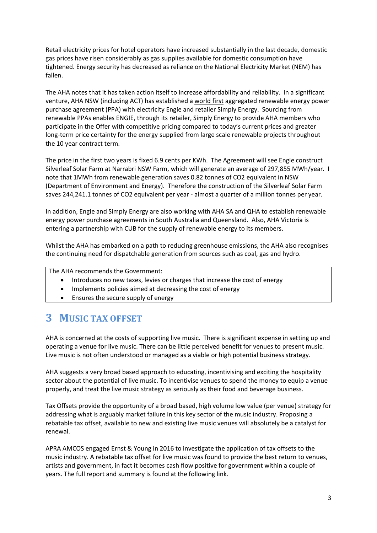Retail electricity prices for hotel operators have increased substantially in the last decade, domestic gas prices have risen considerably as gas supplies available for domestic consumption have tightened. Energy security has decreased as reliance on the National Electricity Market (NEM) has fallen.

The AHA notes that it has taken action itself to increase affordability and reliability. In a significant venture, AHA NSW (including ACT) has established a world first aggregated renewable energy power purchase agreement (PPA) with electricity Engie and retailer Simply Energy. Sourcing from renewable PPAs enables ENGIE, through its retailer, Simply Energy to provide AHA members who participate in the Offer with competitive pricing compared to today's current prices and greater long-term price certainty for the energy supplied from large scale renewable projects throughout the 10 year contract term.

The price in the first two years is fixed 6.9 cents per KWh. The Agreement will see Engie construct Silverleaf Solar Farm at Narrabri NSW Farm, which will generate an average of 297,855 MWh/year. I note that 1MWh from renewable generation saves 0.82 tonnes of CO2 equivalent in NSW (Department of Environment and Energy). Therefore the construction of the Silverleaf Solar Farm saves 244,241.1 tonnes of CO2 equivalent per year - almost a quarter of a million tonnes per year.

In addition, Engie and Simply Energy are also working with AHA SA and QHA to establish renewable energy power purchase agreements in South Australia and Queensland. Also, AHA Victoria is entering a partnership with CUB for the supply of renewable energy to its members.

Whilst the AHA has embarked on a path to reducing greenhouse emissions, the AHA also recognises the continuing need for dispatchable generation from sources such as coal, gas and hydro.

The AHA recommends the Government:

- Introduces no new taxes, levies or charges that increase the cost of energy
- Implements policies aimed at decreasing the cost of energy
- Ensures the secure supply of energy

### **3 MUSIC TAX OFFSET**

AHA is concerned at the costs of supporting live music. There is significant expense in setting up and operating a venue for live music. There can be little perceived benefit for venues to present music. Live music is not often understood or managed as a viable or high potential business strategy.

AHA suggests a very broad based approach to educating, incentivising and exciting the hospitality sector about the potential of live music. To incentivise venues to spend the money to equip a venue properly, and treat the live music strategy as seriously as their food and beverage business.

Tax Offsets provide the opportunity of a broad based, high volume low value (per venue) strategy for addressing what is arguably market failure in this key sector of the music industry. Proposing a rebatable tax offset, available to new and existing live music venues will absolutely be a catalyst for renewal.

APRA AMCOS engaged Ernst & Young in 2016 to investigate the application of tax offsets to the music industry. A rebatable tax offset for live music was found to provide the best return to venues, artists and government, in fact it becomes cash flow positive for government within a couple of years. The full report and summary is found at the following link.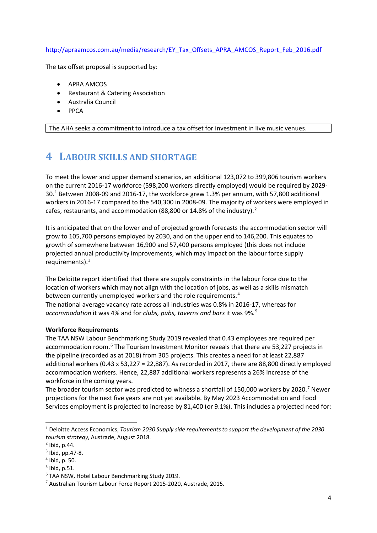### [http://apraamcos.com.au/media/research/EY\\_Tax\\_Offsets\\_APRA\\_AMCOS\\_Report\\_Feb\\_2016.pdf](http://apraamcos.com.au/media/research/EY_Tax_Offsets_APRA_AMCOS_Report_Feb_2016.pdf)

The tax offset proposal is supported by:

- APRA AMCOS
- Restaurant & Catering Association
- Australia Council
- PPCA

The AHA seeks a commitment to introduce a tax offset for investment in live music venues.

### **4 LABOUR SKILLS AND SHORTAGE**

To meet the lower and upper demand scenarios, an additional 123,072 to 399,806 tourism workers on the current 2016-17 workforce (598,200 workers directly employed) would be required by 2029- 30.[1](#page-3-0) Between 2008-09 and 2016-17, the workforce grew 1.3% per annum, with 57,800 additional workers in 2016-17 compared to the 540,300 in 2008-09. The majority of workers were employed in cafes, restaurants, and accommodation (88,800 or 14.8% of the industry). $^2$  $^2$ 

It is anticipated that on the lower end of projected growth forecasts the accommodation sector will grow to 105,700 persons employed by 2030, and on the upper end to 146,200. This equates to growth of somewhere between 16,900 and 57,400 persons employed (this does not include projected annual productivity improvements, which may impact on the labour force supply requirements). $3$ 

The Deloitte report identified that there are supply constraints in the labour force due to the location of workers which may not align with the location of jobs, as well as a skills mismatch between currently unemployed workers and the role requirements.<sup>[4](#page-3-3)</sup> The national average vacancy rate across all industries was 0.8% in 2016-17, whereas for *accommodation* it was 4% and for *clubs, pubs, taverns and bars* it was 9%.[5](#page-3-4)

### **Workforce Requirements**

The TAA NSW Labour Benchmarking Study 2019 revealed that 0.43 employees are required per accommodation room.<sup>[6](#page-3-5)</sup> The Tourism Investment Monitor reveals that there are 53,227 projects in the pipeline (recorded as at 2018) from 305 projects. This creates a need for at least 22,887 additional workers (0.43 x 53,227 = 22,887). As recorded in 2017, there are 88,800 directly employed accommodation workers. Hence, 22,887 additional workers represents a 26% increase of the workforce in the coming years.

The broader tourism sector was predicted to witness a shortfall of 150,000 workers by 2020.[7](#page-3-6) Newer projections for the next five years are not yet available. By May 2023 Accommodation and Food Services employment is projected to increase by 81,400 (or 9.1%). This includes a projected need for:

<span id="page-3-0"></span> <sup>1</sup> Deloitte Access Economics, *Tourism 2030 Supply side requirements to support the development of the 2030 tourism strategy*, Austrade, August 2018.

<span id="page-3-1"></span><sup>2</sup> Ibid, p.44.

<span id="page-3-2"></span> $3$  Ibid, pp. 47-8.

<span id="page-3-3"></span><sup>4</sup> Ibid, p. 50.

<span id="page-3-4"></span><sup>5</sup> Ibid, p.51.

<span id="page-3-5"></span><sup>6</sup> TAA NSW, Hotel Labour Benchmarking Study 2019.

<span id="page-3-6"></span><sup>7</sup> Australian Tourism Labour Force Report 2015-2020, Austrade, 2015.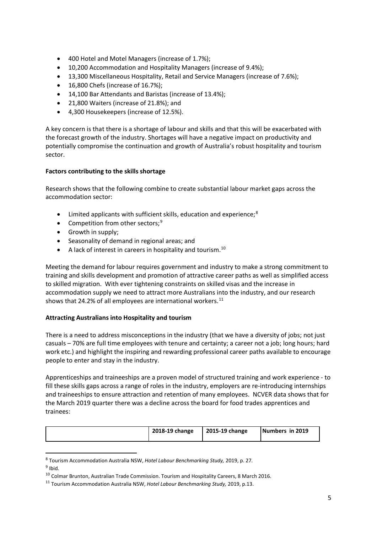- 400 Hotel and Motel Managers (increase of 1.7%);
- 10,200 Accommodation and Hospitality Managers (increase of 9.4%);
- 13,300 Miscellaneous Hospitality, Retail and Service Managers (increase of 7.6%);
- 16,800 Chefs (increase of 16.7%);
- 14,100 Bar Attendants and Baristas (increase of 13.4%);
- 21,800 Waiters (increase of 21.8%); and
- 4,300 Housekeepers (increase of 12.5%).

A key concern is that there is a shortage of labour and skills and that this will be exacerbated with the forecast growth of the industry. Shortages will have a negative impact on productivity and potentially compromise the continuation and growth of Australia's robust hospitality and tourism sector.

### **Factors contributing to the skills shortage**

Research shows that the following combine to create substantial labour market gaps across the accommodation sector:

- $\bullet$  Limited applicants with sufficient skills, education and experience;<sup>[8](#page-4-0)</sup>
- Competition from other sectors;<sup>[9](#page-4-1)</sup>
- Growth in supply;
- Seasonality of demand in regional areas; and
- A lack of interest in careers in hospitality and tourism.<sup>[10](#page-4-2)</sup>

Meeting the demand for labour requires government and industry to make a strong commitment to training and skills development and promotion of attractive career paths as well as simplified access to skilled migration. With ever tightening constraints on skilled visas and the increase in accommodation supply we need to attract more Australians into the industry, and our research shows that 24.2% of all employees are international workers.<sup>[11](#page-4-3)</sup>

### **Attracting Australians into Hospitality and tourism**

There is a need to address misconceptions in the industry (that we have a diversity of jobs; not just casuals – 70% are full time employees with tenure and certainty; a career not a job; long hours; hard work etc.) and highlight the inspiring and rewarding professional career paths available to encourage people to enter and stay in the industry.

Apprenticeships and traineeships are a proven model of structured training and work experience - to fill these skills gaps across a range of roles in the industry, employers are re-introducing internships and traineeships to ensure attraction and retention of many employees. NCVER data shows that for the March 2019 quarter there was a decline across the board for food trades apprentices and trainees:

| 2018-19 change | 2015-19 change | Numbers in 2019 |
|----------------|----------------|-----------------|
|----------------|----------------|-----------------|

<span id="page-4-0"></span> <sup>8</sup> Tourism Accommodation Australia NSW, *Hotel Labour Benchmarking Study,* 2019, p. 27*.*

<span id="page-4-1"></span><sup>9</sup> Ibid*.*

<span id="page-4-2"></span><sup>10</sup> Colmar Brunton, Australian Trade Commission. Tourism and Hospitality Careers, 8 March 2016.

<span id="page-4-3"></span><sup>11</sup> Tourism Accommodation Australia NSW, *Hotel Labour Benchmarking Study,* 2019, p.13.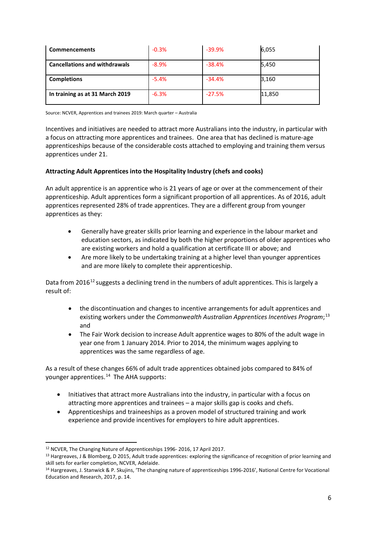| <b>Commencements</b>                 | $-0.3%$ | $-39.9%$ | 6,055  |
|--------------------------------------|---------|----------|--------|
| <b>Cancellations and withdrawals</b> | $-8.9%$ | $-38.4%$ | 5,450  |
| <b>Completions</b>                   | $-5.4%$ | $-34.4%$ | 3,160  |
| In training as at 31 March 2019      | $-6.3%$ | $-27.5%$ | 11,850 |

Source: NCVER, Apprentices and trainees 2019: March quarter – Australia

Incentives and initiatives are needed to attract more Australians into the industry, in particular with a focus on attracting more apprentices and trainees. One area that has declined is mature-age apprenticeships because of the considerable costs attached to employing and training them versus apprentices under 21.

### **Attracting Adult Apprentices into the Hospitality Industry (chefs and cooks)**

An adult apprentice is an apprentice who is 21 years of age or over at the commencement of their apprenticeship. Adult apprentices form a significant proportion of all apprentices. As of 2016, adult apprentices represented 28% of trade apprentices. They are a different group from younger apprentices as they:

- Generally have greater skills prior learning and experience in the labour market and education sectors, as indicated by both the higher proportions of older apprentices who are existing workers and hold a qualification at certificate III or above; and
- Are more likely to be undertaking training at a higher level than younger apprentices and are more likely to complete their apprenticeship.

Data from 2016<sup>[12](#page-5-0)</sup> suggests a declining trend in the numbers of adult apprentices. This is largely a result of:

- the discontinuation and changes to incentive arrangements for adult apprentices and existing workers under the *Commonwealth Australian Apprentices Incentives Program*; [13](#page-5-1) and
- The Fair Work decision to increase Adult apprentice wages to 80% of the adult wage in year one from 1 January 2014. Prior to 2014, the minimum wages applying to apprentices was the same regardless of age.

As a result of these changes 66% of adult trade apprentices obtained jobs compared to 84% of younger apprentices.<sup>[14](#page-5-2)</sup> The AHA supports:

- Initiatives that attract more Australians into the industry, in particular with a focus on attracting more apprentices and trainees – a major skills gap is cooks and chefs.
- Apprenticeships and traineeships as a proven model of structured training and work experience and provide incentives for employers to hire adult apprentices.

<span id="page-5-0"></span> <sup>12</sup> NCVER, The Changing Nature of Apprenticeships 1996- 2016, 17 April 2017.

<span id="page-5-1"></span><sup>13</sup> Hargreaves, J & Blomberg, D 2015, Adult trade apprentices: exploring the significance of recognition of prior learning and skill sets for earlier completion, NCVER, Adelaide.

<span id="page-5-2"></span><sup>14</sup> Hargreaves, J. Stanwick & P. Skujins, 'The changing nature of apprenticeships 1996-2016', National Centre for Vocational Education and Research, 2017, p. 14.